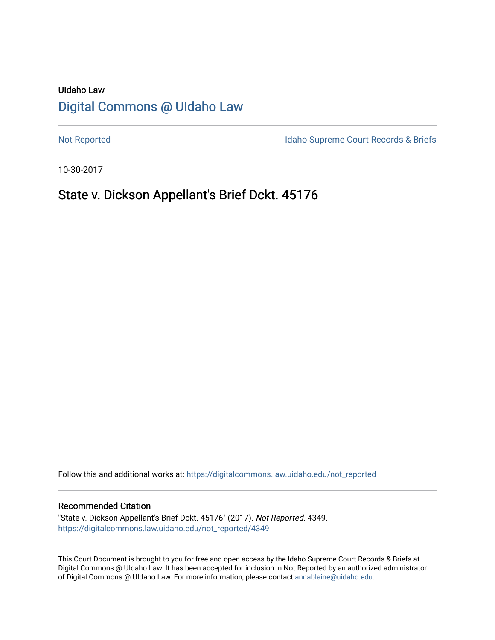# UIdaho Law [Digital Commons @ UIdaho Law](https://digitalcommons.law.uidaho.edu/)

[Not Reported](https://digitalcommons.law.uidaho.edu/not_reported) **Idaho Supreme Court Records & Briefs** 

10-30-2017

# State v. Dickson Appellant's Brief Dckt. 45176

Follow this and additional works at: [https://digitalcommons.law.uidaho.edu/not\\_reported](https://digitalcommons.law.uidaho.edu/not_reported?utm_source=digitalcommons.law.uidaho.edu%2Fnot_reported%2F4349&utm_medium=PDF&utm_campaign=PDFCoverPages) 

### Recommended Citation

"State v. Dickson Appellant's Brief Dckt. 45176" (2017). Not Reported. 4349. [https://digitalcommons.law.uidaho.edu/not\\_reported/4349](https://digitalcommons.law.uidaho.edu/not_reported/4349?utm_source=digitalcommons.law.uidaho.edu%2Fnot_reported%2F4349&utm_medium=PDF&utm_campaign=PDFCoverPages)

This Court Document is brought to you for free and open access by the Idaho Supreme Court Records & Briefs at Digital Commons @ UIdaho Law. It has been accepted for inclusion in Not Reported by an authorized administrator of Digital Commons @ UIdaho Law. For more information, please contact [annablaine@uidaho.edu](mailto:annablaine@uidaho.edu).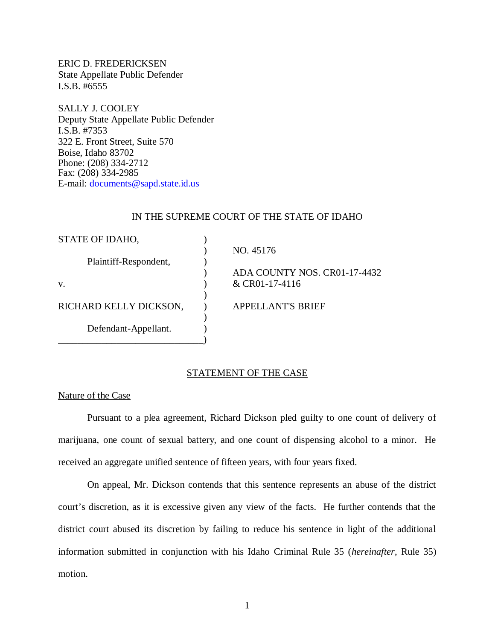ERIC D. FREDERICKSEN State Appellate Public Defender I.S.B. #6555

SALLY J. COOLEY Deputy State Appellate Public Defender I.S.B. #7353 322 E. Front Street, Suite 570 Boise, Idaho 83702 Phone: (208) 334-2712 Fax: (208) 334-2985 E-mail: [documents@sapd.state.id.us](mailto:documents@sapd.state.id.us)

### IN THE SUPREME COURT OF THE STATE OF IDAHO

| STATE OF IDAHO,        |                              |
|------------------------|------------------------------|
|                        | NO. 45176                    |
| Plaintiff-Respondent,  |                              |
|                        | ADA COUNTY NOS. CR01-17-4432 |
| V.                     | & CR01-17-4116               |
|                        |                              |
| RICHARD KELLY DICKSON, | <b>APPELLANT'S BRIEF</b>     |
|                        |                              |
| Defendant-Appellant.   |                              |
|                        |                              |

# STATEMENT OF THE CASE

Nature of the Case

Pursuant to a plea agreement, Richard Dickson pled guilty to one count of delivery of marijuana, one count of sexual battery, and one count of dispensing alcohol to a minor. He received an aggregate unified sentence of fifteen years, with four years fixed.

On appeal, Mr. Dickson contends that this sentence represents an abuse of the district court's discretion, as it is excessive given any view of the facts. He further contends that the district court abused its discretion by failing to reduce his sentence in light of the additional information submitted in conjunction with his Idaho Criminal Rule 35 (*hereinafter*, Rule 35) motion.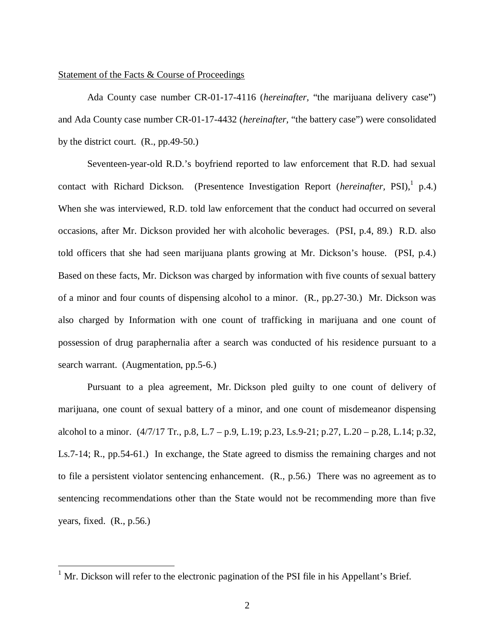## Statement of the Facts & Course of Proceedings

Ada County case number CR-01-17-4116 (*hereinafter,* "the marijuana delivery case") and Ada County case number CR-01-17-4432 (*hereinafter,* "the battery case") were consolidated by the district court. (R., pp.49-50.)

Seventeen-year-old R.D.'s boyfriend reported to law enforcement that R.D. had sexual contact with Richard Dickson. (Presentence Investigation Report (*hereinafter*, PSI),<sup>[1](#page-2-0)</sup> p.4.) When she was interviewed, R.D. told law enforcement that the conduct had occurred on several occasions, after Mr. Dickson provided her with alcoholic beverages. (PSI, p.4, 89.) R.D. also told officers that she had seen marijuana plants growing at Mr. Dickson's house. (PSI, p.4.) Based on these facts, Mr. Dickson was charged by information with five counts of sexual battery of a minor and four counts of dispensing alcohol to a minor. (R., pp.27-30.) Mr. Dickson was also charged by Information with one count of trafficking in marijuana and one count of possession of drug paraphernalia after a search was conducted of his residence pursuant to a search warrant. (Augmentation, pp.5-6.)

Pursuant to a plea agreement, Mr. Dickson pled guilty to one count of delivery of marijuana, one count of sexual battery of a minor, and one count of misdemeanor dispensing alcohol to a minor.  $(4/7/17$  Tr., p.8, L.7 – p.9, L.19; p.23, Ls.9-21; p.27, L.20 – p.28, L.14; p.32, Ls.7-14; R., pp.54-61.) In exchange, the State agreed to dismiss the remaining charges and not to file a persistent violator sentencing enhancement. (R., p.56.) There was no agreement as to sentencing recommendations other than the State would not be recommending more than five years, fixed.  $(R., p.56.)$ 

<span id="page-2-0"></span><sup>&</sup>lt;sup>1</sup> Mr. Dickson will refer to the electronic pagination of the PSI file in his Appellant's Brief.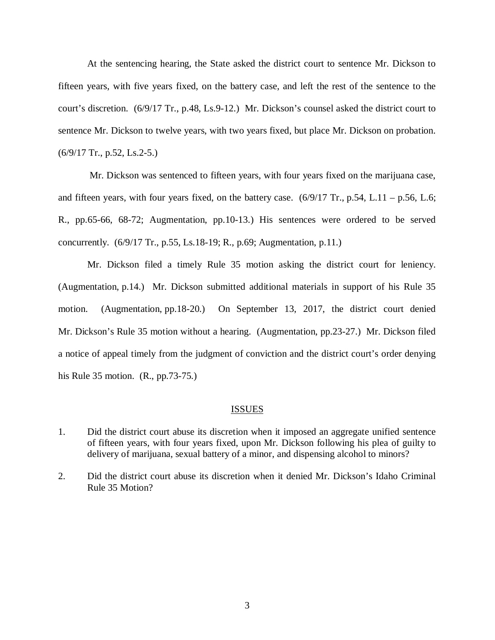At the sentencing hearing, the State asked the district court to sentence Mr. Dickson to fifteen years, with five years fixed, on the battery case, and left the rest of the sentence to the court's discretion. (6/9/17 Tr., p.48, Ls.9-12.) Mr. Dickson's counsel asked the district court to sentence Mr. Dickson to twelve years, with two years fixed, but place Mr. Dickson on probation. (6/9/17 Tr., p.52, Ls.2-5.)

 Mr. Dickson was sentenced to fifteen years, with four years fixed on the marijuana case, and fifteen years, with four years fixed, on the battery case.  $(6/9/17 \text{ Tr}$ , p.54, L.11 – p.56, L.6; R., pp.65-66, 68-72; Augmentation, pp.10-13.) His sentences were ordered to be served concurrently. (6/9/17 Tr., p.55, Ls.18-19; R., p.69; Augmentation, p.11.)

Mr. Dickson filed a timely Rule 35 motion asking the district court for leniency. (Augmentation, p.14.) Mr. Dickson submitted additional materials in support of his Rule 35 motion. (Augmentation, pp.18-20.) On September 13, 2017, the district court denied Mr. Dickson's Rule 35 motion without a hearing. (Augmentation, pp.23-27.) Mr. Dickson filed a notice of appeal timely from the judgment of conviction and the district court's order denying his Rule 35 motion. (R., pp.73-75.)

## ISSUES

- 1. Did the district court abuse its discretion when it imposed an aggregate unified sentence of fifteen years, with four years fixed, upon Mr. Dickson following his plea of guilty to delivery of marijuana, sexual battery of a minor, and dispensing alcohol to minors?
- 2. Did the district court abuse its discretion when it denied Mr. Dickson's Idaho Criminal Rule 35 Motion?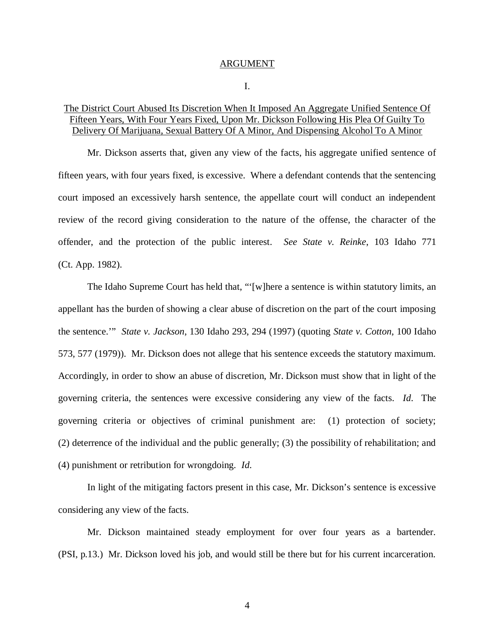#### ARGUMENT

#### I.

# The District Court Abused Its Discretion When It Imposed An Aggregate Unified Sentence Of Fifteen Years, With Four Years Fixed, Upon Mr. Dickson Following His Plea Of Guilty To Delivery Of Marijuana, Sexual Battery Of A Minor, And Dispensing Alcohol To A Minor

Mr. Dickson asserts that, given any view of the facts, his aggregate unified sentence of fifteen years, with four years fixed, is excessive. Where a defendant contends that the sentencing court imposed an excessively harsh sentence, the appellate court will conduct an independent review of the record giving consideration to the nature of the offense, the character of the offender, and the protection of the public interest. *See State v. Reinke*, 103 Idaho 771 (Ct. App. 1982).

The Idaho Supreme Court has held that, "'[w]here a sentence is within statutory limits, an appellant has the burden of showing a clear abuse of discretion on the part of the court imposing the sentence.'" *State v. Jackson*, 130 Idaho 293, 294 (1997) (quoting *State v. Cotton*, 100 Idaho 573, 577 (1979)). Mr. Dickson does not allege that his sentence exceeds the statutory maximum. Accordingly, in order to show an abuse of discretion, Mr. Dickson must show that in light of the governing criteria, the sentences were excessive considering any view of the facts. *Id*. The governing criteria or objectives of criminal punishment are: (1) protection of society; (2) deterrence of the individual and the public generally; (3) the possibility of rehabilitation; and (4) punishment or retribution for wrongdoing. *Id*.

In light of the mitigating factors present in this case, Mr. Dickson's sentence is excessive considering any view of the facts.

Mr. Dickson maintained steady employment for over four years as a bartender. (PSI, p.13.) Mr. Dickson loved his job, and would still be there but for his current incarceration.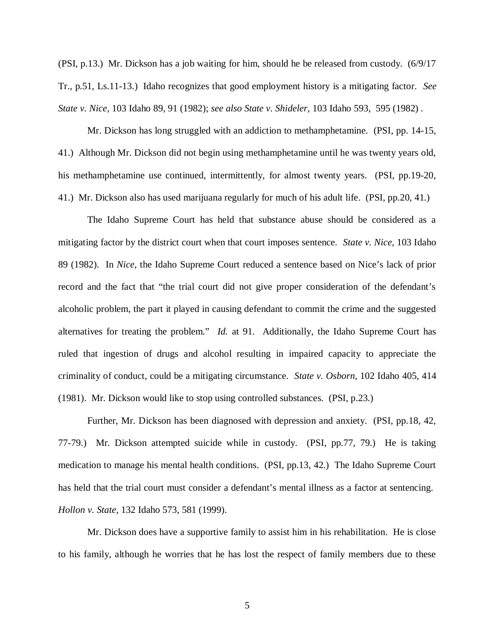(PSI, p.13.) Mr. Dickson has a job waiting for him, should he be released from custody. (6/9/17 Tr., p.51, Ls.11-13.) Idaho recognizes that good employment history is a mitigating factor. *See State v. Nice,* 103 Idaho 89, 91 (1982); *see also State v. Shideler,* 103 Idaho 593, 595 (1982) .

Mr. Dickson has long struggled with an addiction to methamphetamine. (PSI, pp. 14-15, 41.) Although Mr. Dickson did not begin using methamphetamine until he was twenty years old, his methamphetamine use continued, intermittently, for almost twenty years. (PSI, pp.19-20, 41.) Mr. Dickson also has used marijuana regularly for much of his adult life. (PSI, pp.20, 41.)

The Idaho Supreme Court has held that substance abuse should be considered as a mitigating factor by the district court when that court imposes sentence. *State v. Nice*, 103 Idaho 89 (1982). In *Nice*, the Idaho Supreme Court reduced a sentence based on Nice's lack of prior record and the fact that "the trial court did not give proper consideration of the defendant's alcoholic problem, the part it played in causing defendant to commit the crime and the suggested alternatives for treating the problem." *Id.* at 91. Additionally, the Idaho Supreme Court has ruled that ingestion of drugs and alcohol resulting in impaired capacity to appreciate the criminality of conduct, could be a mitigating circumstance. *State v. Osborn*, 102 Idaho 405, 414 (1981). Mr. Dickson would like to stop using controlled substances. (PSI, p.23.)

Further, Mr. Dickson has been diagnosed with depression and anxiety. (PSI, pp.18, 42, 77-79.) Mr. Dickson attempted suicide while in custody. (PSI, pp.77, 79.) He is taking medication to manage his mental health conditions. (PSI, pp.13, 42.) The Idaho Supreme Court has held that the trial court must consider a defendant's mental illness as a factor at sentencing. *Hollon v. State*, 132 Idaho 573, 581 (1999).

Mr. Dickson does have a supportive family to assist him in his rehabilitation. He is close to his family, although he worries that he has lost the respect of family members due to these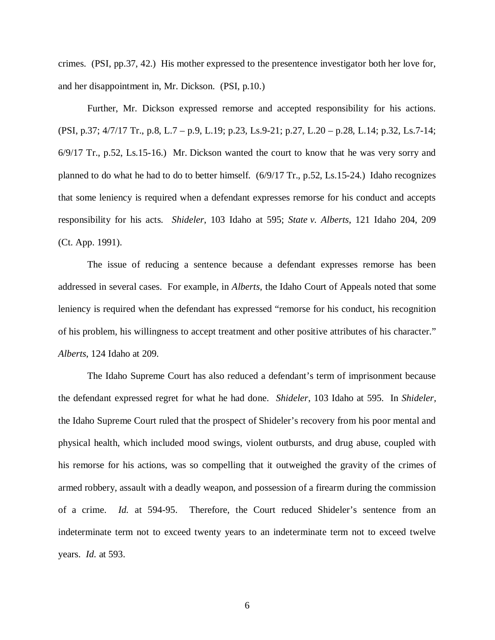crimes. (PSI, pp.37, 42.) His mother expressed to the presentence investigator both her love for, and her disappointment in, Mr. Dickson. (PSI, p.10.)

Further, Mr. Dickson expressed remorse and accepted responsibility for his actions. (PSI, p.37; 4/7/17 Tr., p.8, L.7 – p.9, L.19; p.23, Ls.9-21; p.27, L.20 – p.28, L.14; p.32, Ls.7-14; 6/9/17 Tr., p.52, Ls.15-16.) Mr. Dickson wanted the court to know that he was very sorry and planned to do what he had to do to better himself. (6/9/17 Tr., p.52, Ls.15-24.) Idaho recognizes that some leniency is required when a defendant expresses remorse for his conduct and accepts responsibility for his acts. *Shideler*, 103 Idaho at 595; *State v. Alberts*, 121 Idaho 204, 209 (Ct. App. 1991).

The issue of reducing a sentence because a defendant expresses remorse has been addressed in several cases. For example, in *Alberts*, the Idaho Court of Appeals noted that some leniency is required when the defendant has expressed "remorse for his conduct, his recognition of his problem, his willingness to accept treatment and other positive attributes of his character." *Alberts*, 124 Idaho at 209.

The Idaho Supreme Court has also reduced a defendant's term of imprisonment because the defendant expressed regret for what he had done. *Shideler*, 103 Idaho at 595. In *Shideler,* the Idaho Supreme Court ruled that the prospect of Shideler's recovery from his poor mental and physical health, which included mood swings, violent outbursts, and drug abuse, coupled with his remorse for his actions, was so compelling that it outweighed the gravity of the crimes of armed robbery, assault with a deadly weapon, and possession of a firearm during the commission of a crime. *Id.* at 594-95. Therefore, the Court reduced Shideler's sentence from an indeterminate term not to exceed twenty years to an indeterminate term not to exceed twelve years. *Id.* at 593.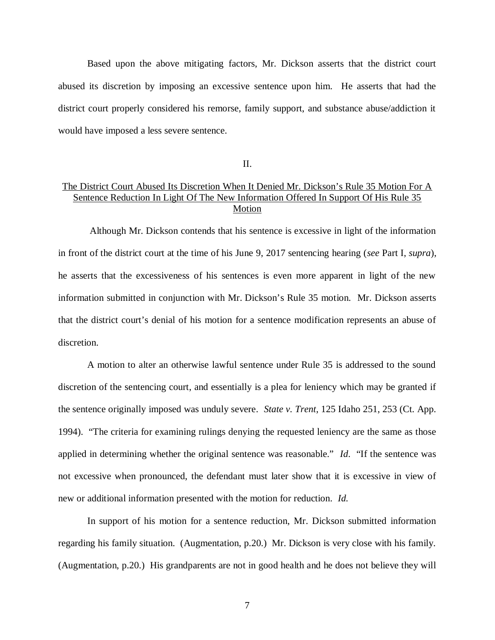Based upon the above mitigating factors, Mr. Dickson asserts that the district court abused its discretion by imposing an excessive sentence upon him. He asserts that had the district court properly considered his remorse, family support, and substance abuse/addiction it would have imposed a less severe sentence.

II.

# The District Court Abused Its Discretion When It Denied Mr. Dickson's Rule 35 Motion For A Sentence Reduction In Light Of The New Information Offered In Support Of His Rule 35 **Motion**

 Although Mr. Dickson contends that his sentence is excessive in light of the information in front of the district court at the time of his June 9, 2017 sentencing hearing (*see* Part I, *supra*), he asserts that the excessiveness of his sentences is even more apparent in light of the new information submitted in conjunction with Mr. Dickson's Rule 35 motion. Mr. Dickson asserts that the district court's denial of his motion for a sentence modification represents an abuse of discretion.

A motion to alter an otherwise lawful sentence under Rule 35 is addressed to the sound discretion of the sentencing court, and essentially is a plea for leniency which may be granted if the sentence originally imposed was unduly severe. *State v. Trent*, 125 Idaho 251, 253 (Ct. App. 1994). "The criteria for examining rulings denying the requested leniency are the same as those applied in determining whether the original sentence was reasonable." *Id*. "If the sentence was not excessive when pronounced, the defendant must later show that it is excessive in view of new or additional information presented with the motion for reduction*. Id*.

In support of his motion for a sentence reduction, Mr. Dickson submitted information regarding his family situation. (Augmentation, p.20.) Mr. Dickson is very close with his family. (Augmentation, p.20.) His grandparents are not in good health and he does not believe they will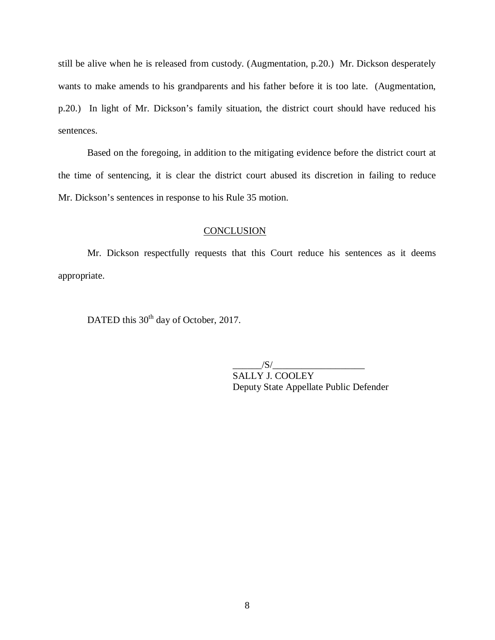still be alive when he is released from custody. (Augmentation, p.20.) Mr. Dickson desperately wants to make amends to his grandparents and his father before it is too late. (Augmentation, p.20.) In light of Mr. Dickson's family situation, the district court should have reduced his sentences.

Based on the foregoing, in addition to the mitigating evidence before the district court at the time of sentencing, it is clear the district court abused its discretion in failing to reduce Mr. Dickson's sentences in response to his Rule 35 motion.

## **CONCLUSION**

Mr. Dickson respectfully requests that this Court reduce his sentences as it deems appropriate.

DATED this 30<sup>th</sup> day of October, 2017.

 $/S/$ SALLY J. COOLEY Deputy State Appellate Public Defender